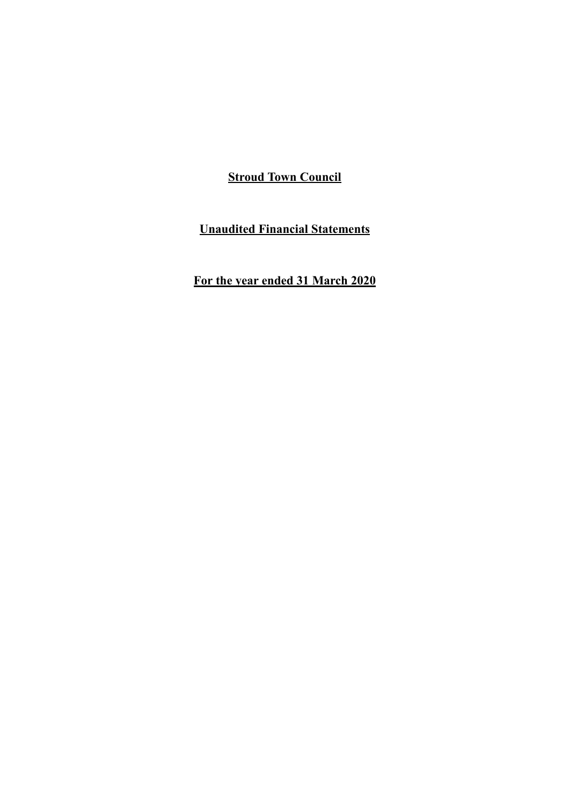**Unaudited Financial Statements**

**For the year ended 31 March 2020**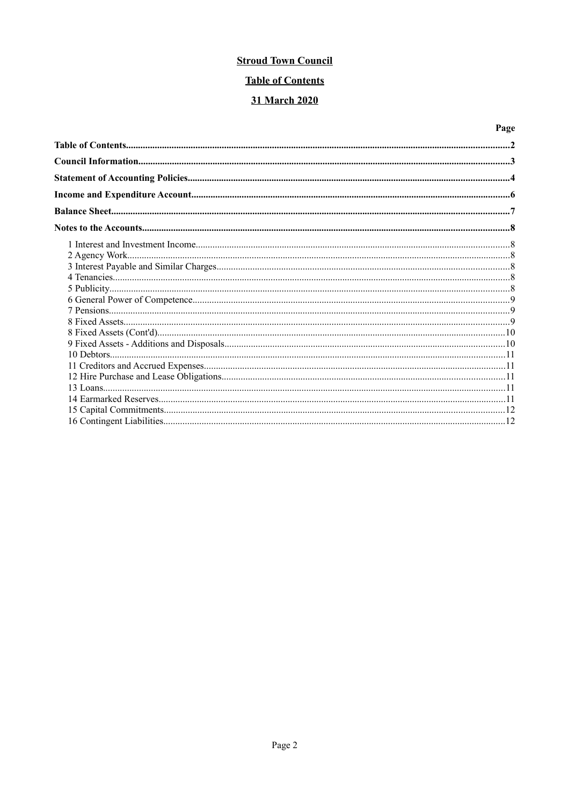# **Table of Contents**

# 31 March 2020

# Page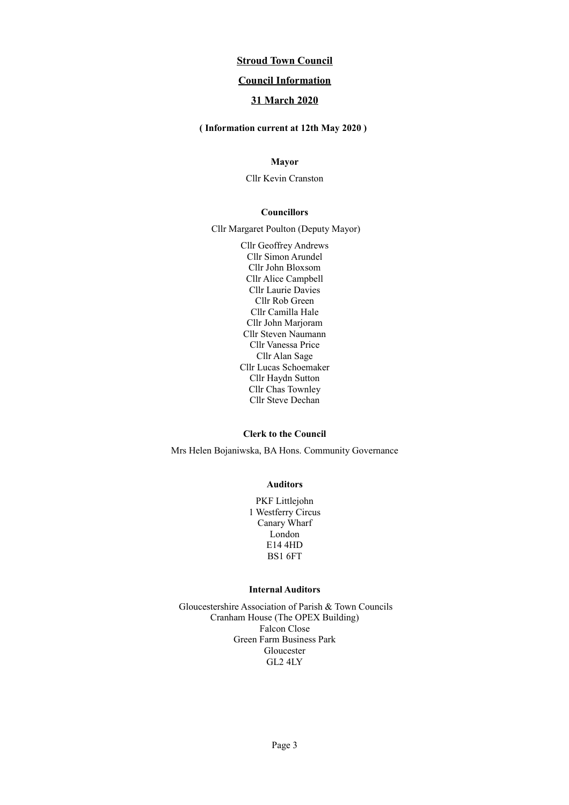## **Council Information**

## **31 March 2020**

 **( Information current at 12th May 2020 )**

## **Mayor**

Cllr Kevin Cranston

#### **Councillors**

Cllr Margaret Poulton (Deputy Mayor)

Cllr Geoffrey Andrews Cllr Simon Arundel Cllr John Bloxsom Cllr Alice Campbell Cllr Laurie Davies Cllr Rob Green Cllr Camilla Hale Cllr John Marjoram Cllr Steven Naumann Cllr Vanessa Price Cllr Alan Sage Cllr Lucas Schoemaker Cllr Haydn Sutton Cllr Chas Townley Cllr Steve Dechan

#### **Clerk to the Council**

Mrs Helen Bojaniwska, BA Hons. Community Governance

#### **Auditors**

PKF Littlejohn 1 Westferry Circus Canary Wharf London E14 4HD BS1 6FT

### **Internal Auditors**

Gloucestershire Association of Parish & Town Councils Cranham House (The OPEX Building) Falcon Close Green Farm Business Park Gloucester GL2 4LY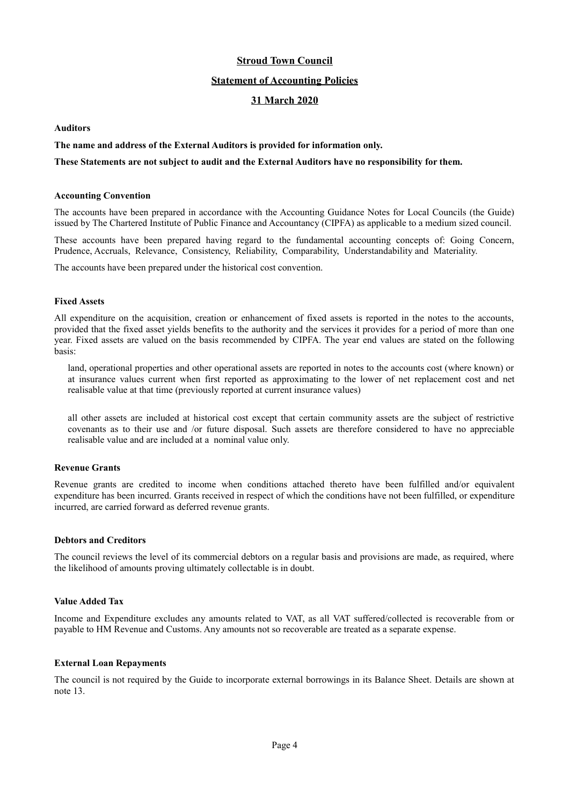#### **Statement of Accounting Policies**

## **31 March 2020**

#### **Auditors**

#### **The name and address of the External Auditors is provided for information only.**

#### **These Statements are not subject to audit and the External Auditors have no responsibility for them.**

#### **Accounting Convention**

The accounts have been prepared in accordance with the Accounting Guidance Notes for Local Councils (the Guide) issued by The Chartered Institute of Public Finance and Accountancy (CIPFA) as applicable to a medium sized council.

These accounts have been prepared having regard to the fundamental accounting concepts of: Going Concern, Prudence, Accruals, Relevance, Consistency, Reliability, Comparability, Understandability and Materiality.

The accounts have been prepared under the historical cost convention.

#### **Fixed Assets**

All expenditure on the acquisition, creation or enhancement of fixed assets is reported in the notes to the accounts, provided that the fixed asset yields benefits to the authority and the services it provides for a period of more than one year. Fixed assets are valued on the basis recommended by CIPFA. The year end values are stated on the following basis:

land, operational properties and other operational assets are reported in notes to the accounts cost (where known) or at insurance values current when first reported as approximating to the lower of net replacement cost and net realisable value at that time (previously reported at current insurance values)

all other assets are included at historical cost except that certain community assets are the subject of restrictive covenants as to their use and /or future disposal. Such assets are therefore considered to have no appreciable realisable value and are included at a nominal value only.

#### **Revenue Grants**

Revenue grants are credited to income when conditions attached thereto have been fulfilled and/or equivalent expenditure has been incurred. Grants received in respect of which the conditions have not been fulfilled, or expenditure incurred, are carried forward as deferred revenue grants.

#### **Debtors and Creditors**

The council reviews the level of its commercial debtors on a regular basis and provisions are made, as required, where the likelihood of amounts proving ultimately collectable is in doubt.

#### **Value Added Tax**

Income and Expenditure excludes any amounts related to VAT, as all VAT suffered/collected is recoverable from or payable to HM Revenue and Customs. Any amounts not so recoverable are treated as a separate expense.

#### **External Loan Repayments**

The council is not required by the Guide to incorporate external borrowings in its Balance Sheet. Details are shown at note 13.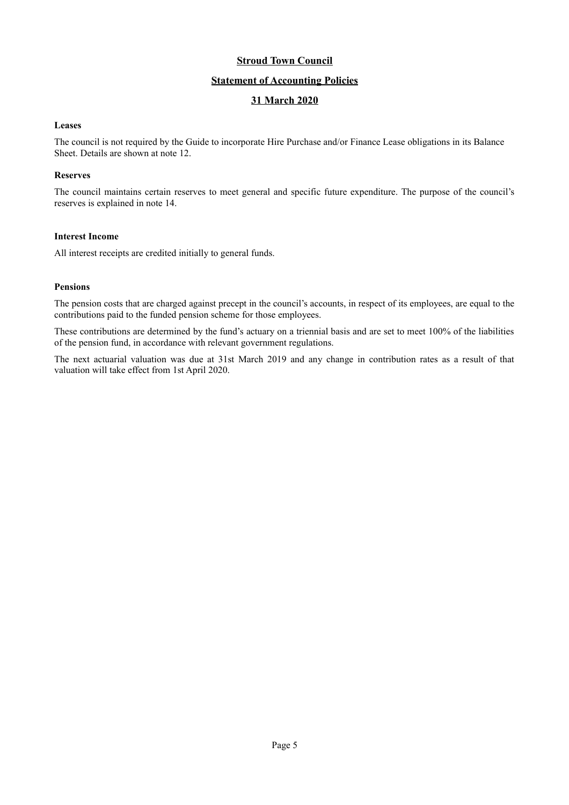## **Statement of Accounting Policies**

## **31 March 2020**

#### **Leases**

The council is not required by the Guide to incorporate Hire Purchase and/or Finance Lease obligations in its Balance Sheet. Details are shown at note 12.

#### **Reserves**

The council maintains certain reserves to meet general and specific future expenditure. The purpose of the council's reserves is explained in note 14.

#### **Interest Income**

All interest receipts are credited initially to general funds.

#### **Pensions**

The pension costs that are charged against precept in the council's accounts, in respect of its employees, are equal to the contributions paid to the funded pension scheme for those employees.

These contributions are determined by the fund's actuary on a triennial basis and are set to meet 100% of the liabilities of the pension fund, in accordance with relevant government regulations.

The next actuarial valuation was due at 31st March 2019 and any change in contribution rates as a result of that valuation will take effect from 1st April 2020.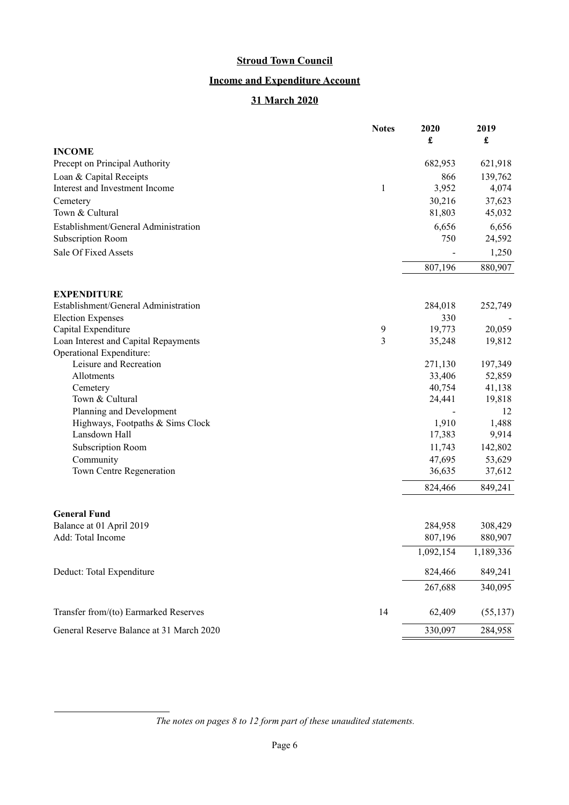# **Income and Expenditure Account**

# **31 March 2020**

|                                          | <b>Notes</b> | 2020<br>£ | 2019<br>£ |
|------------------------------------------|--------------|-----------|-----------|
| <b>INCOME</b>                            |              |           |           |
| Precept on Principal Authority           |              | 682,953   | 621,918   |
| Loan & Capital Receipts                  |              | 866       | 139,762   |
| Interest and Investment Income           | $\mathbf{1}$ | 3,952     | 4,074     |
| Cemetery                                 |              | 30,216    | 37,623    |
| Town & Cultural                          |              | 81,803    | 45,032    |
| Establishment/General Administration     |              | 6,656     | 6,656     |
| Subscription Room                        |              | 750       | 24,592    |
| Sale Of Fixed Assets                     |              |           | 1,250     |
|                                          |              | 807,196   | 880,907   |
|                                          |              |           |           |
| <b>EXPENDITURE</b>                       |              |           |           |
| Establishment/General Administration     |              | 284,018   | 252,749   |
| <b>Election Expenses</b>                 |              | 330       |           |
| Capital Expenditure                      | 9            | 19,773    | 20,059    |
| Loan Interest and Capital Repayments     | 3            | 35,248    | 19,812    |
| Operational Expenditure:                 |              |           |           |
| Leisure and Recreation                   |              | 271,130   | 197,349   |
| Allotments                               |              | 33,406    | 52,859    |
| Cemetery                                 |              | 40,754    | 41,138    |
| Town & Cultural                          |              | 24,441    | 19,818    |
| Planning and Development                 |              |           | 12        |
| Highways, Footpaths & Sims Clock         |              | 1,910     | 1,488     |
| Lansdown Hall                            |              | 17,383    | 9,914     |
| <b>Subscription Room</b>                 |              | 11,743    | 142,802   |
| Community                                |              | 47,695    | 53,629    |
| Town Centre Regeneration                 |              | 36,635    | 37,612    |
|                                          |              | 824,466   | 849,241   |
| <b>General Fund</b>                      |              |           |           |
| Balance at 01 April 2019                 |              | 284,958   | 308,429   |
| Add: Total Income                        |              | 807,196   | 880,907   |
|                                          |              | 1,092,154 | 1,189,336 |
|                                          |              |           |           |
| Deduct: Total Expenditure                |              | 824,466   | 849,241   |
|                                          |              | 267,688   | 340,095   |
| Transfer from/(to) Earmarked Reserves    | 14           | 62,409    | (55, 137) |
| General Reserve Balance at 31 March 2020 |              | 330,097   | 284,958   |

*The notes on pages [8](#page-7-0) to [12](#page-11-0) form part of these unaudited statements.*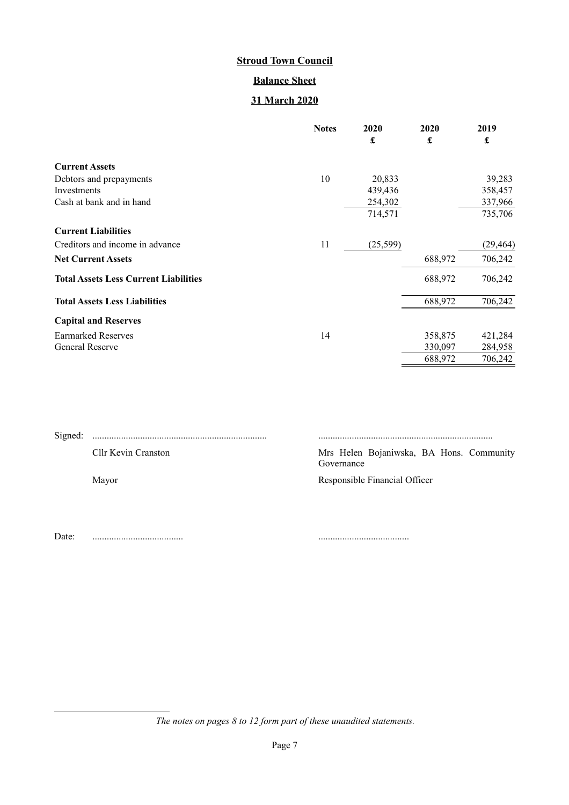# **Balance Sheet**

# **31 March 2020**

|                                              | <b>Notes</b> | 2020      | 2020    | 2019      |
|----------------------------------------------|--------------|-----------|---------|-----------|
|                                              |              | £         | £       | £         |
| <b>Current Assets</b>                        |              |           |         |           |
| Debtors and prepayments                      | 10           | 20,833    |         | 39,283    |
| Investments                                  |              | 439,436   |         | 358,457   |
| Cash at bank and in hand                     |              | 254,302   |         | 337,966   |
|                                              |              | 714,571   |         | 735,706   |
| <b>Current Liabilities</b>                   |              |           |         |           |
| Creditors and income in advance              | 11           | (25, 599) |         | (29, 464) |
| <b>Net Current Assets</b>                    |              |           | 688,972 | 706,242   |
| <b>Total Assets Less Current Liabilities</b> |              |           | 688,972 | 706,242   |
| <b>Total Assets Less Liabilities</b>         |              |           | 688,972 | 706,242   |
| <b>Capital and Reserves</b>                  |              |           |         |           |
| <b>Earmarked Reserves</b>                    | 14           |           | 358,875 | 421,284   |
| <b>General Reserve</b>                       |              |           | 330,097 | 284,958   |
|                                              |              |           | 688,972 | 706,242   |

| Cllr Kevin Cranston | Mrs Helen Bojaniwska, BA Hons. Community<br>Governance |
|---------------------|--------------------------------------------------------|
| Mayor               | Responsible Financial Officer                          |
|                     |                                                        |

Date: ...................................... ......................................

*The notes on pages [8](#page-7-0) to [12](#page-11-0) form part of these unaudited statements.*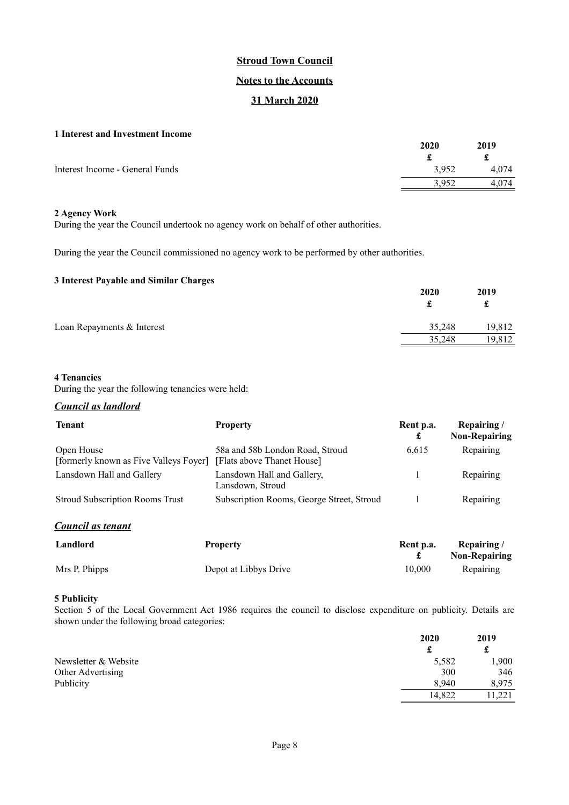### **Notes to the Accounts**

## **31 March 2020**

### <span id="page-7-0"></span>**1 Interest and Investment Income**

|                                 | 2020  | 2019  |
|---------------------------------|-------|-------|
|                                 |       |       |
| Interest Income - General Funds | 3,952 | 4.074 |
|                                 | 3.952 | 4.074 |
|                                 |       |       |

#### **2 Agency Work**

During the year the Council undertook no agency work on behalf of other authorities.

During the year the Council commissioned no agency work to be performed by other authorities.

## **3 Interest Payable and Similar Charges**

| o microst rayable and bining charges | 2020   | 2019<br>£ |
|--------------------------------------|--------|-----------|
| Loan Repayments & Interest           | 35,248 | 19.812    |
|                                      | 35,248 | 19,812    |

### **4 Tenancies**

During the year the following tenancies were held:

### *Council as landlord*

| <b>Tenant</b>                                        | <b>Property</b>                                               | Rent p.a.<br>£ | Repairing/<br><b>Non-Repairing</b> |
|------------------------------------------------------|---------------------------------------------------------------|----------------|------------------------------------|
| Open House<br>[formerly known as Five Valleys Foyer] | 58a and 58b London Road, Stroud<br>[Flats above Thanet House] | 6,615          | Repairing                          |
| Lansdown Hall and Gallery                            | Lansdown Hall and Gallery,<br>Lansdown, Stroud                |                | Repairing                          |
| <b>Stroud Subscription Rooms Trust</b>               | Subscription Rooms, George Street, Stroud                     |                | Repairing                          |

*Council as tenant*

| Landlord      | <b>Property</b>       | Rent p.a. | Repairing/<br><b>Non-Repairing</b> |
|---------------|-----------------------|-----------|------------------------------------|
| Mrs P. Phipps | Depot at Libbys Drive | 10.000    | Repairing                          |

## **5 Publicity**

Section 5 of the Local Government Act 1986 requires the council to disclose expenditure on publicity. Details are shown under the following broad categories:

|                      | 2020   | 2019<br>¥<br>ىق |
|----------------------|--------|-----------------|
|                      |        |                 |
| Newsletter & Website | 5,582  | 1,900           |
| Other Advertising    | 300    | 346             |
| Publicity            | 8.940  | 8.975           |
|                      | 14.822 | 1.221           |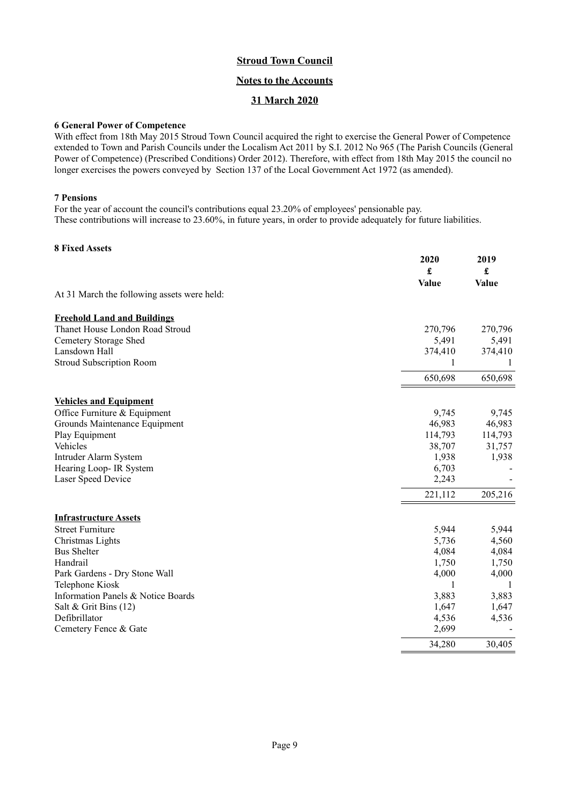## **Notes to the Accounts**

## **31 March 2020**

### **6 General Power of Competence**

With effect from 18th May 2015 Stroud Town Council acquired the right to exercise the General Power of Competence extended to Town and Parish Councils under the Localism Act 2011 by S.I. 2012 No 965 (The Parish Councils (General Power of Competence) (Prescribed Conditions) Order 2012). Therefore, with effect from 18th May 2015 the council no longer exercises the powers conveyed by Section 137 of the Local Government Act 1972 (as amended).

#### **7 Pensions**

For the year of account the council's contributions equal 23.20% of employees' pensionable pay. These contributions will increase to 23.60%, in future years, in order to provide adequately for future liabilities.

## **8 Fixed Assets**

|                                             | 2020<br>£<br>Value | 2019<br>£<br>Value |
|---------------------------------------------|--------------------|--------------------|
| At 31 March the following assets were held: |                    |                    |
| <b>Freehold Land and Buildings</b>          |                    |                    |
| Thanet House London Road Stroud             | 270,796            | 270,796            |
| Cemetery Storage Shed                       | 5,491              | 5,491              |
| Lansdown Hall                               | 374,410            | 374,410            |
| <b>Stroud Subscription Room</b>             | 1                  | 1                  |
|                                             | 650,698            | 650,698            |
| <b>Vehicles and Equipment</b>               |                    |                    |
| Office Furniture & Equipment                | 9,745              | 9,745              |
| Grounds Maintenance Equipment               | 46,983             | 46,983             |
| Play Equipment                              | 114,793            | 114,793            |
| Vehicles                                    | 38,707             | 31,757             |
| Intruder Alarm System                       | 1,938              | 1,938              |
| Hearing Loop- IR System                     | 6,703              |                    |
| Laser Speed Device                          | 2,243              |                    |
|                                             | 221,112            | 205,216            |
| <b>Infrastructure Assets</b>                |                    |                    |
| <b>Street Furniture</b>                     | 5,944              | 5,944              |
| Christmas Lights                            | 5,736              | 4,560              |
| <b>Bus Shelter</b>                          | 4,084              | 4,084              |
| Handrail                                    | 1,750              | 1,750              |
| Park Gardens - Dry Stone Wall               | 4,000              | 4,000              |
| Telephone Kiosk                             | 1                  | -1                 |
| Information Panels & Notice Boards          | 3,883              | 3,883              |
| Salt & Grit Bins (12)                       | 1,647              | 1,647              |
| Defibrillator                               | 4,536              | 4,536              |
| Cemetery Fence & Gate                       | 2,699              |                    |
|                                             | 34,280             | 30,405             |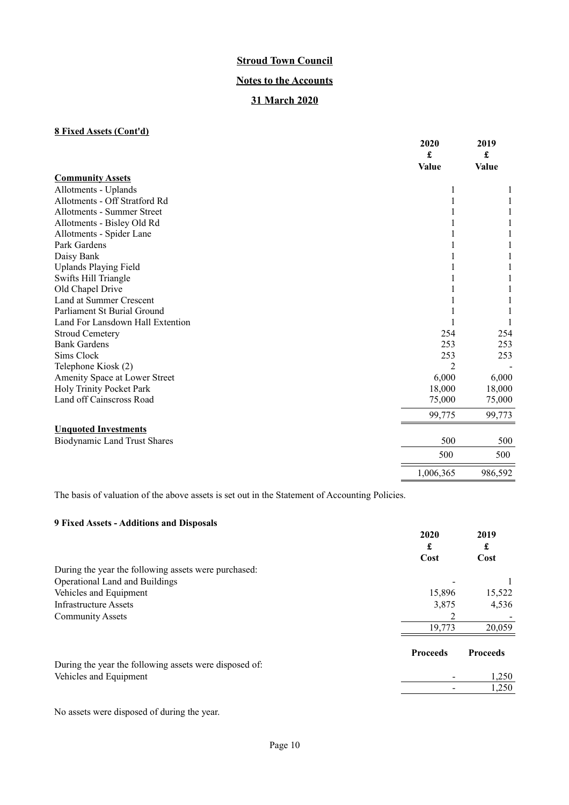# **Notes to the Accounts**

# **31 March 2020**

# **8 Fixed Assets (Cont'd)**

|                                     | 2020<br>£<br>Value | 2019<br>£<br><b>Value</b> |
|-------------------------------------|--------------------|---------------------------|
| <b>Community Assets</b>             |                    |                           |
| Allotments - Uplands                |                    |                           |
| Allotments - Off Stratford Rd       |                    |                           |
| Allotments - Summer Street          |                    |                           |
| Allotments - Bisley Old Rd          |                    |                           |
| Allotments - Spider Lane            |                    |                           |
| Park Gardens                        |                    |                           |
| Daisy Bank                          |                    |                           |
| <b>Uplands Playing Field</b>        |                    |                           |
| Swifts Hill Triangle                |                    |                           |
| Old Chapel Drive                    |                    |                           |
| Land at Summer Crescent             |                    |                           |
| Parliament St Burial Ground         |                    |                           |
| Land For Lansdown Hall Extention    |                    |                           |
| <b>Stroud Cemetery</b>              | 254                | 254                       |
| <b>Bank Gardens</b>                 | 253                | 253                       |
| Sims Clock                          | 253                | 253                       |
| Telephone Kiosk (2)                 |                    |                           |
| Amenity Space at Lower Street       | 6,000              | 6,000                     |
| Holy Trinity Pocket Park            | 18,000             | 18,000                    |
| Land off Cainscross Road            | 75,000             | 75,000                    |
|                                     | 99,775             | 99,773                    |
| <b>Unquoted Investments</b>         |                    |                           |
| <b>Biodynamic Land Trust Shares</b> | 500                | 500                       |
|                                     | 500                | 500                       |
|                                     | 1,006,365          | 986,592                   |

The basis of valuation of the above assets is set out in the Statement of Accounting Policies.

# **9 Fixed Assets - Additions and Disposals**

|                                                        | 2020<br>£       | 2019<br>£       |
|--------------------------------------------------------|-----------------|-----------------|
|                                                        | Cost            | Cost            |
| During the year the following assets were purchased:   |                 |                 |
| Operational Land and Buildings                         |                 |                 |
| Vehicles and Equipment                                 | 15,896          | 15,522          |
| Infrastructure Assets                                  | 3,875           | 4,536           |
| <b>Community Assets</b>                                |                 |                 |
|                                                        | 19,773          | 20,059          |
|                                                        | <b>Proceeds</b> | <b>Proceeds</b> |
| During the year the following assets were disposed of: |                 |                 |
| Vehicles and Equipment                                 |                 | 1,250           |
|                                                        |                 | 1,250           |

No assets were disposed of during the year.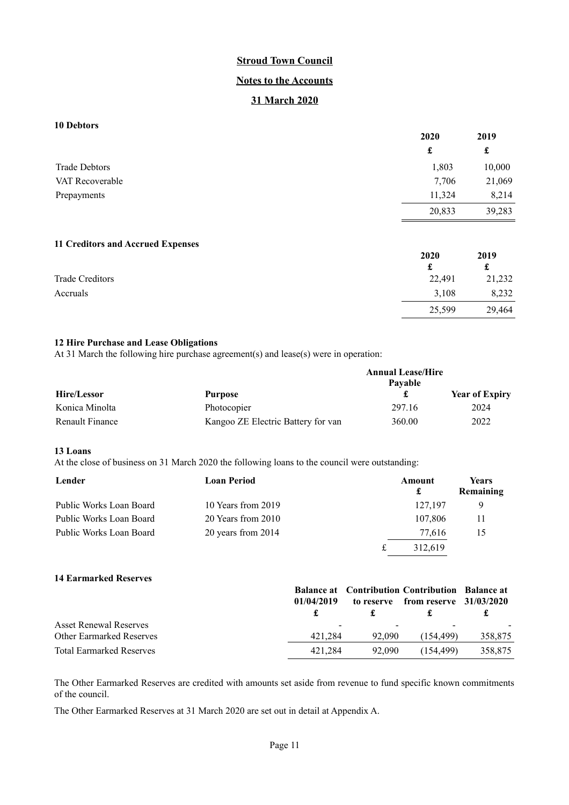## **Notes to the Accounts**

## **31 March 2020**

## **10 Debtors**

|                      | 2020   | 2019   |
|----------------------|--------|--------|
|                      | £      | £      |
| <b>Trade Debtors</b> | 1,803  | 10,000 |
| VAT Recoverable      | 7,706  | 21,069 |
| Prepayments          | 11,324 | 8,214  |
|                      | 20,833 | 39,283 |

#### **11 Creditors and Accrued Expenses**

| 2020   | 2019   |
|--------|--------|
| £      | £      |
| 22,491 | 21,232 |
| 3,108  | 8,232  |
| 25,599 | 29,464 |
|        |        |

25,599

## **12 Hire Purchase and Lease Obligations**

At 31 March the following hire purchase agreement(s) and lease(s) were in operation:

|                 |                                    | <b>Annual Lease/Hire</b> |                       |
|-----------------|------------------------------------|--------------------------|-----------------------|
|                 |                                    | Pavable                  |                       |
| Hire/Lessor     | <b>Purpose</b>                     |                          | <b>Year of Expiry</b> |
| Konica Minolta  | Photocopier                        | 297.16                   | 2024                  |
| Renault Finance | Kangoo ZE Electric Battery for van | 360.00                   | 2022                  |

#### **13 Loans**

At the close of business on 31 March 2020 the following loans to the council were outstanding:

| Lender                  | <b>Loan Period</b> | Amount<br>£ | <b>Years</b><br>Remaining |
|-------------------------|--------------------|-------------|---------------------------|
| Public Works Loan Board | 10 Years from 2019 | 127,197     | 9                         |
| Public Works Loan Board | 20 Years from 2010 | 107.806     |                           |
| Public Works Loan Board | 20 years from 2014 | 77.616      | 15                        |
|                         |                    | 312.619     |                           |

### **14 Earmarked Reserves**

|                                 | <b>Balance at Contribution Contribution Balance at</b> |        |                                      |         |
|---------------------------------|--------------------------------------------------------|--------|--------------------------------------|---------|
|                                 | 01/04/2019                                             |        | to reserve from reserve $31/03/2020$ |         |
|                                 |                                                        |        |                                      |         |
| <b>Asset Renewal Reserves</b>   | $\overline{\phantom{a}}$                               |        |                                      |         |
| <b>Other Earmarked Reserves</b> | 421.284                                                | 92,090 | (154.499)                            | 358,875 |
| <b>Total Earmarked Reserves</b> | 421.284                                                | 92.090 | (154.499)                            | 358,875 |

The Other Earmarked Reserves are credited with amounts set aside from revenue to fund specific known commitments of the council.

The Other Earmarked Reserves at 31 March 2020 are set out in detail at Appendix A.